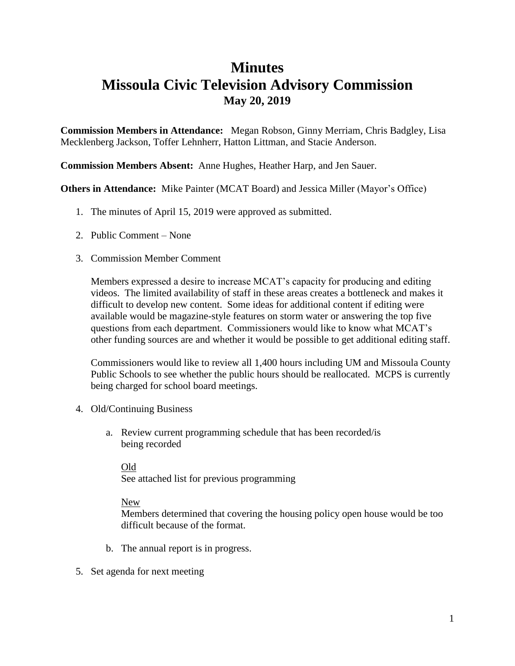## **Minutes**

## **Missoula Civic Television Advisory Commission May 20, 2019**

**Commission Members in Attendance:** Megan Robson, Ginny Merriam, Chris Badgley, Lisa Mecklenberg Jackson, Toffer Lehnherr, Hatton Littman, and Stacie Anderson.

**Commission Members Absent:** Anne Hughes, Heather Harp, and Jen Sauer.

**Others in Attendance:** Mike Painter (MCAT Board) and Jessica Miller (Mayor's Office)

- 1. The minutes of April 15, 2019 were approved as submitted.
- 2. Public Comment None
- 3. Commission Member Comment

Members expressed a desire to increase MCAT's capacity for producing and editing videos. The limited availability of staff in these areas creates a bottleneck and makes it difficult to develop new content. Some ideas for additional content if editing were available would be magazine-style features on storm water or answering the top five questions from each department. Commissioners would like to know what MCAT's other funding sources are and whether it would be possible to get additional editing staff.

Commissioners would like to review all 1,400 hours including UM and Missoula County Public Schools to see whether the public hours should be reallocated. MCPS is currently being charged for school board meetings.

- 4. Old/Continuing Business
	- a. Review current programming schedule that has been recorded/is being recorded

Old See attached list for previous programming

## New

Members determined that covering the housing policy open house would be too difficult because of the format.

- b. The annual report is in progress.
- 5. Set agenda for next meeting